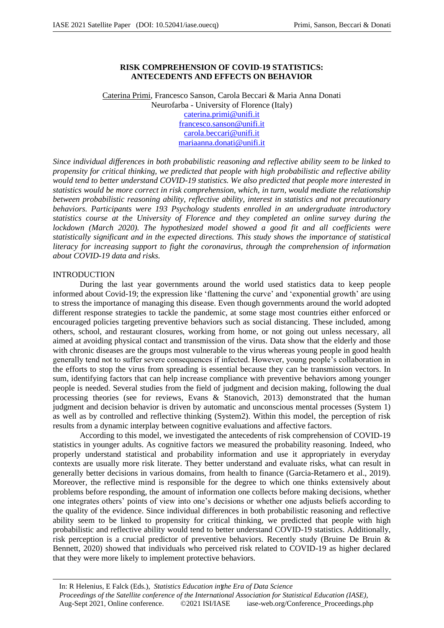# **RISK COMPREHENSION OF COVID-19 STATISTICS: ANTECEDENTS AND EFFECTS ON BEHAVIOR**

Caterina Primi, Francesco Sanson, Carola Beccari & Maria Anna Donati Neurofarba - University of Florence (Italy) caterina.primi@unifi.it francesco.sanson@unifi.it carola.beccari@unifi.it mariaanna.donati@unifi.it

*Since individual differences in both probabilistic reasoning and reflective ability seem to be linked to propensity for critical thinking, we predicted that people with high probabilistic and reflective ability would tend to better understand COVID-19 statistics. We also predicted that people more interested in statistics would be more correct in risk comprehension, which, in turn, would mediate the relationship between probabilistic reasoning ability, reflective ability, interest in statistics and not precautionary behaviors. Participants were 193 Psychology students enrolled in an undergraduate introductory statistics course at the University of Florence and they completed an online survey during the lockdown (March 2020). The hypothesized model showed a good fit and all coefficients were statistically significant and in the expected directions. This study shows the importance of statistical literacy for increasing support to fight the coronavirus, through the comprehension of information about COVID-19 data and risks.* 

# **INTRODUCTION**

During the last year governments around the world used statistics data to keep people informed about Covid-19; the expression like 'flattening the curve' and 'exponential growth' are using to stress the importance of managing this disease. Even though governments around the world adopted different response strategies to tackle the pandemic, at some stage most countries either enforced or encouraged policies targeting preventive behaviors such as social distancing. These included, among others, school, and restaurant closures, working from home, or not going out unless necessary, all aimed at avoiding physical contact and transmission of the virus. Data show that the elderly and those with chronic diseases are the groups most vulnerable to the virus whereas young people in good health generally tend not to suffer severe consequences if infected. However, young people's collaboration in the efforts to stop the virus from spreading is essential because they can be transmission vectors. In sum, identifying factors that can help increase compliance with preventive behaviors among younger people is needed. Several studies from the field of judgment and decision making, following the dual processing theories (see for reviews, Evans & Stanovich, 2013) demonstrated that the human judgment and decision behavior is driven by automatic and unconscious mental processes (System 1) as well as by controlled and reflective thinking (System2). Within this model, the perception of risk results from a dynamic interplay between cognitive evaluations and affective factors.

According to this model, we investigated the antecedents of risk comprehension of COVID-19 statistics in younger adults. As cognitive factors we measured the probability reasoning. Indeed, who properly understand statistical and probability information and use it appropriately in everyday contexts are usually more risk literate. They better understand and evaluate risks, what can result in generally better decisions in various domains, from health to finance (Garcia-Retamero et al., 2019). Moreover, the reflective mind is responsible for the degree to which one thinks extensively about problems before responding, the amount of information one collects before making decisions, whether one integrates others' points of view into one's decisions or whether one adjusts beliefs according to the quality of the evidence. Since individual differences in both probabilistic reasoning and reflective ability seem to be linked to propensity for critical thinking, we predicted that people with high probabilistic and reflective ability would tend to better understand COVID-19 statistics. Additionally, risk perception is a crucial predictor of preventive behaviors. Recently study (Bruine De Bruin & Bennett, 2020) showed that individuals who perceived risk related to COVID-19 as higher declared that they were more likely to implement protective behaviors.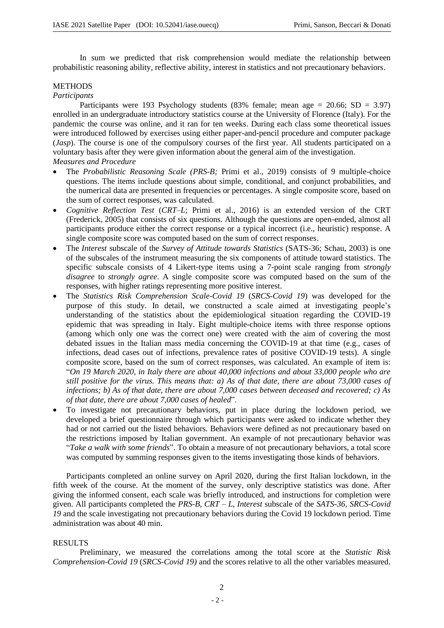In sum we predicted that risk comprehension would mediate the relationship between probabilistic reasoning ability, reflective ability, interest in statistics and not precautionary behaviors.

# **METHODS**

# *Participants*

Participants were 193 Psychology students  $(83\%$  female; mean age = 20.66; SD = 3.97) enrolled in an undergraduate introductory statistics course at the University of Florence (Italy). For the pandemic the course was online, and it ran for ten weeks. During each class some theoretical issues were introduced followed by exercises using either paper-and-pencil procedure and computer package (*Jasp*). The course is one of the compulsory courses of the first year. All students participated on a voluntary basis after they were given information about the general aim of the investigation. *Measures and Procedure*

- The *Probabilistic Reasoning Scale (PRS-B;* Primi et al., 2019) consists of 9 multiple-choice questions. The items include questions about simple, conditional, and conjunct probabilities, and the numerical data are presented in frequencies or percentages. A single composite score, based on the sum of correct responses, was calculated.
- *Cognitive Reflection Test* (*CRT–L*; Primi et al., 2016) is an extended version of the CRT (Frederick, 2005) that consists of six questions. Although the questions are open-ended, almost all participants produce either the correct response or a typical incorrect (i.e., heuristic) response. A single composite score was computed based on the sum of correct responses.
- The *Interest* subscale of the *Survey of Attitude towards Statistics* (SATS-36; Schau, 2003) is one of the subscales of the instrument measuring the six components of attitude toward statistics. The specific subscale consists of 4 Likert-type items using a 7-point scale ranging from *strongly disagree* to *strongly agree*. A single composite score was computed based on the sum of the responses, with higher ratings representing more positive interest.
- The *Statistics Risk Comprehension Scale-Covid 19* (*SRCS-Covid 19*) was developed for the purpose of this study. In detail, we constructed a scale aimed at investigating people's understanding of the statistics about the epidemiological situation regarding the COVID-19 epidemic that was spreading in Italy. Eight multiple-choice items with three response options (among which only one was the correct one) were created with the aim of covering the most debated issues in the Italian mass media concerning the COVID-19 at that time (e.g., cases of infections, dead cases out of infections, prevalence rates of positive COVID-19 tests). A single composite score, based on the sum of correct responses, was calculated. An example of item is: "*On 19 March 2020, in Italy there are about 40,000 infections and about 33,000 people who are still positive for the virus. This means that: a) As of that date, there are about 73,000 cases of infections; b) As of that date, there are about 7,000 cases between deceased and recovered; c) As of that date, there are about 7,000 cases of healed*".
- To investigate not precautionary behaviors, put in place during the lockdown period, we developed a brief questionnaire through which participants were asked to indicate whether they had or not carried out the listed behaviors. Behaviors were defined as not precautionary based on the restrictions imposed by Italian government. An example of not precautionary behavior was "*Take a walk with some friends*". To obtain a measure of not precautionary behaviors, a total score was computed by summing responses given to the items investigating those kinds of behaviors.

Participants completed an online survey on April 2020, during the first Italian lockdown, in the fifth week of the course. At the moment of the survey, only descriptive statistics was done. After giving the informed consent, each scale was briefly introduced, and instructions for completion were given. All participants completed the *PRS-B*, *CRT – L, Interest* subscale of the *SATS-36*, *SRCS-Covid 19* and the scale investigating not precautionary behaviors during the Covid 19 lockdown period. Time administration was about 40 min.

# RESULTS

Preliminary, we measured the correlations among the total score at the *Statistic Risk Comprehension*-*Covid 19* (*SRCS-Covid 19)* and the scores relative to all the other variables measured.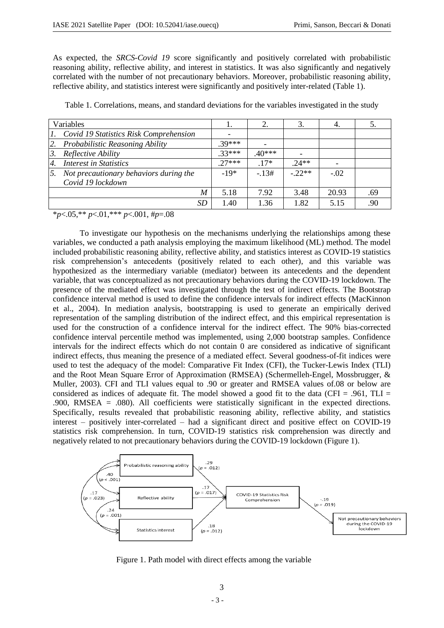As expected, the *SRCS-Covid 19* score significantly and positively correlated with probabilistic reasoning ability, reflective ability, and interest in statistics. It was also significantly and negatively correlated with the number of not precautionary behaviors. Moreover, probabilistic reasoning ability, reflective ability, and statistics interest were significantly and positively inter-related (Table 1).

| Variables |                                        |         |         |         | 4.     |     |
|-----------|----------------------------------------|---------|---------|---------|--------|-----|
| 1.        | Covid 19 Statistics Risk Comprehension |         |         |         |        |     |
| 2.        | Probabilistic Reasoning Ability        | $30***$ |         |         |        |     |
| 3.        | Reflective Ability                     | $33***$ | $40***$ |         |        |     |
| 4.        | <b>Interest in Statistics</b>          | $27***$ | $.17*$  | $24**$  |        |     |
| 5.        | Not precautionary behaviors during the | $-19*$  | $-.13#$ | $-22**$ | $-.02$ |     |
|           | Covid 19 lockdown                      |         |         |         |        |     |
|           | M                                      | 5.18    | 7.92    | 3.48    | 20.93  | .69 |
|           | SD                                     | 1.40    | 1.36    | 1.82    | 5.15   | .90 |

Table 1. Correlations, means, and standard deviations for the variables investigated in the study

\**p*<.05,\*\* *p*<.01,\*\*\* *p*<.001, #*p*=.08

To investigate our hypothesis on the mechanisms underlying the relationships among these variables, we conducted a path analysis employing the maximum likelihood (ML) method. The model included probabilistic reasoning ability, reflective ability, and statistics interest as COVID-19 statistics risk comprehension's antecedents (positively related to each other), and this variable was hypothesized as the intermediary variable (mediator) between its antecedents and the dependent variable, that was conceptualized as not precautionary behaviors during the COVID-19 lockdown. The presence of the mediated effect was investigated through the test of indirect effects. The Bootstrap confidence interval method is used to define the confidence intervals for indirect effects (MacKinnon et al., 2004). In mediation analysis, bootstrapping is used to generate an empirically derived representation of the sampling distribution of the indirect effect, and this empirical representation is used for the construction of a confidence interval for the indirect effect. The 90% bias-corrected confidence interval percentile method was implemented, using 2,000 bootstrap samples. Confidence intervals for the indirect effects which do not contain 0 are considered as indicative of significant indirect effects, thus meaning the presence of a mediated effect. Several goodness-of-fit indices were used to test the adequacy of the model: Comparative Fit Index (CFI), the Tucker-Lewis Index (TLI) and the Root Mean Square Error of Approximation (RMSEA) (Schermelleh-Engel, Mossbrugger, & Muller, 2003). CFI and TLI values equal to .90 or greater and RMSEA values of.08 or below are considered as indices of adequate fit. The model showed a good fit to the data (CFI = .961, TLI = .900, RMSEA = .080). All coefficients were statistically significant in the expected directions. Specifically, results revealed that probabilistic reasoning ability, reflective ability, and statistics interest – positively inter-correlated – had a significant direct and positive effect on COVID-19 statistics risk comprehension. In turn, COVID-19 statistics risk comprehension was directly and negatively related to not precautionary behaviors during the COVID-19 lockdown (Figure 1).



Figure 1. Path model with direct effects among the variable